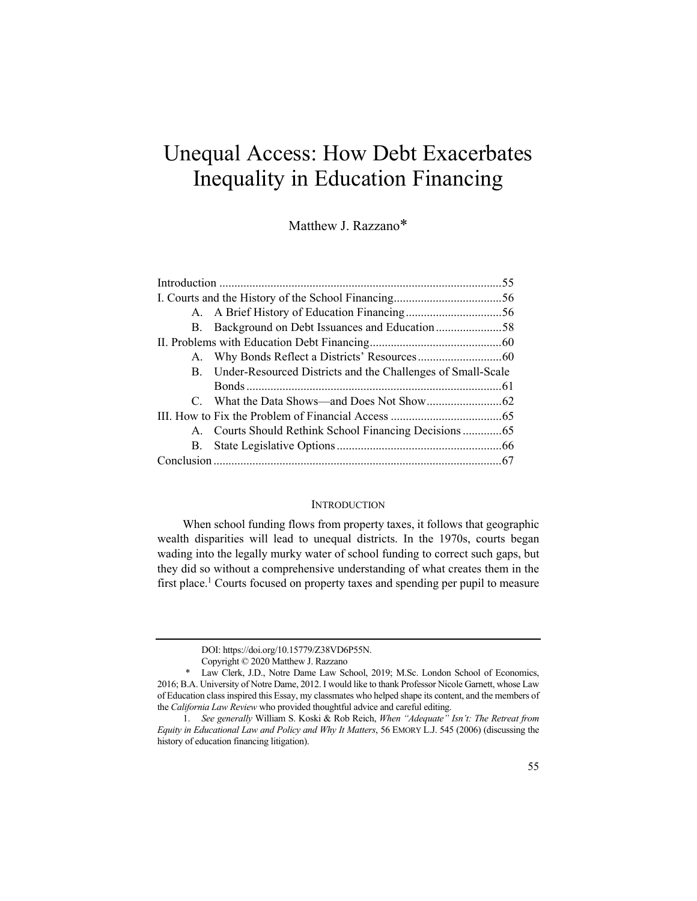# Unequal Access: How Debt Exacerbates Inequality in Education Financing

Matthew J. Razzano\*

| B. Background on Debt Issuances and Education58                |  |
|----------------------------------------------------------------|--|
|                                                                |  |
|                                                                |  |
| B. Under-Resourced Districts and the Challenges of Small-Scale |  |
|                                                                |  |
|                                                                |  |
|                                                                |  |
|                                                                |  |
|                                                                |  |
|                                                                |  |
|                                                                |  |

### INTRODUCTION

When school funding flows from property taxes, it follows that geographic wealth disparities will lead to unequal districts. In the 1970s, courts began wading into the legally murky water of school funding to correct such gaps, but they did so without a comprehensive understanding of what creates them in the first place.<sup>1</sup> Courts focused on property taxes and spending per pupil to measure

DOI: https://doi.org/10.15779/Z38VD6P55N.

Copyright © 2020 Matthew J. Razzano

<sup>\*</sup> Law Clerk, J.D., Notre Dame Law School, 2019; M.Sc. London School of Economics, 2016; B.A. University of Notre Dame, 2012. I would like to thank Professor Nicole Garnett, whose Law of Education class inspired this Essay, my classmates who helped shape its content, and the members of the *California Law Review* who provided thoughtful advice and careful editing.

<sup>1.</sup> *See generally* William S. Koski & Rob Reich, *When "Adequate" Isn't: The Retreat from Equity in Educational Law and Policy and Why It Matters*, 56 EMORY L.J. 545 (2006) (discussing the history of education financing litigation).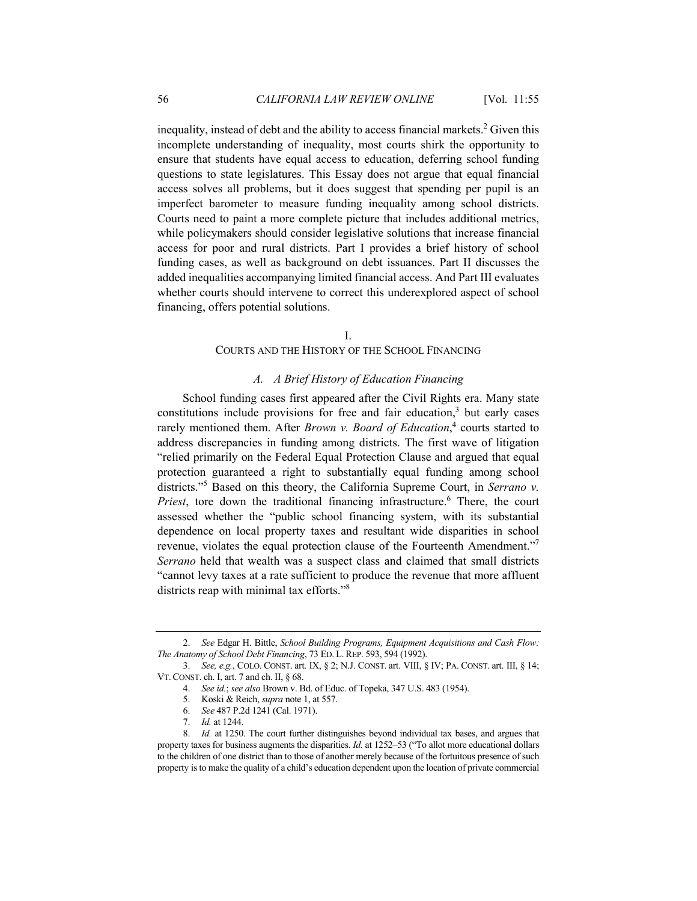inequality, instead of debt and the ability to access financial markets.<sup>2</sup> Given this incomplete understanding of inequality, most courts shirk the opportunity to ensure that students have equal access to education, deferring school funding questions to state legislatures. This Essay does not argue that equal financial access solves all problems, but it does suggest that spending per pupil is an imperfect barometer to measure funding inequality among school districts. Courts need to paint a more complete picture that includes additional metrics, while policymakers should consider legislative solutions that increase financial access for poor and rural districts. Part I provides a brief history of school funding cases, as well as background on debt issuances. Part II discusses the added inequalities accompanying limited financial access. And Part III evaluates whether courts should intervene to correct this underexplored aspect of school financing, offers potential solutions.

#### I.

#### COURTS AND THE HISTORY OF THE SCHOOL FINANCING

#### *A. A Brief History of Education Financing*

School funding cases first appeared after the Civil Rights era. Many state constitutions include provisions for free and fair education, $3$  but early cases rarely mentioned them. After *Brown v. Board of Education*,<sup>4</sup> courts started to address discrepancies in funding among districts. The first wave of litigation "relied primarily on the Federal Equal Protection Clause and argued that equal protection guaranteed a right to substantially equal funding among school districts."5 Based on this theory, the California Supreme Court, in *Serrano v.*  Priest, tore down the traditional financing infrastructure.<sup>6</sup> There, the court assessed whether the "public school financing system, with its substantial dependence on local property taxes and resultant wide disparities in school revenue, violates the equal protection clause of the Fourteenth Amendment."<sup>7</sup> *Serrano* held that wealth was a suspect class and claimed that small districts "cannot levy taxes at a rate sufficient to produce the revenue that more affluent districts reap with minimal tax efforts."8

<sup>2.</sup> *See* Edgar H. Bittle, *School Building Programs, Equipment Acquisitions and Cash Flow: The Anatomy of School Debt Financing*, 73 ED. L. REP. 593, 594 (1992).

<sup>3.</sup> *See, e.g.*, COLO. CONST. art. IX, § 2; N.J. CONST. art. VIII, § IV; PA. CONST. art. III, § 14; VT.CONST. ch. I, art. 7 and ch. II, § 68.

<sup>4.</sup> *See id.*; *see also* Brown v. Bd. of Educ. of Topeka, 347 U.S. 483 (1954).

 <sup>5.</sup> Koski & Reich, *supra* note 1, at 557.

<sup>6.</sup> *See* 487 P.2d 1241 (Cal. 1971).

<sup>7.</sup> *Id.* at 1244.

<sup>8.</sup> *Id.* at 1250. The court further distinguishes beyond individual tax bases, and argues that property taxes for business augments the disparities. *Id.* at 1252–53 ("To allot more educational dollars to the children of one district than to those of another merely because of the fortuitous presence of such property is to make the quality of a child's education dependent upon the location of private commercial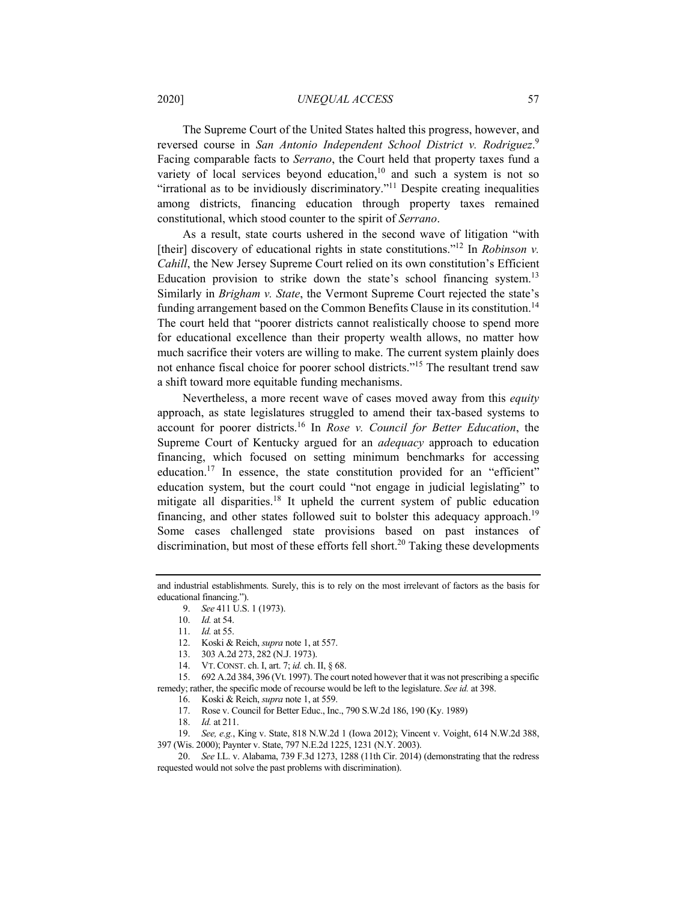## 2020] *UNEQUAL ACCESS* 57

The Supreme Court of the United States halted this progress, however, and reversed course in *San Antonio Independent School District v. Rodriguez*. 9 Facing comparable facts to *Serrano*, the Court held that property taxes fund a variety of local services beyond education,<sup>10</sup> and such a system is not so "irrational as to be invidiously discriminatory."11 Despite creating inequalities among districts, financing education through property taxes remained constitutional, which stood counter to the spirit of *Serrano*.

As a result, state courts ushered in the second wave of litigation "with [their] discovery of educational rights in state constitutions."12 In *Robinson v. Cahill*, the New Jersey Supreme Court relied on its own constitution's Efficient Education provision to strike down the state's school financing system.13 Similarly in *Brigham v. State*, the Vermont Supreme Court rejected the state's funding arrangement based on the Common Benefits Clause in its constitution.<sup>14</sup> The court held that "poorer districts cannot realistically choose to spend more for educational excellence than their property wealth allows, no matter how much sacrifice their voters are willing to make. The current system plainly does not enhance fiscal choice for poorer school districts."15 The resultant trend saw a shift toward more equitable funding mechanisms.

Nevertheless, a more recent wave of cases moved away from this *equity* approach, as state legislatures struggled to amend their tax-based systems to account for poorer districts.16 In *Rose v. Council for Better Education*, the Supreme Court of Kentucky argued for an *adequacy* approach to education financing, which focused on setting minimum benchmarks for accessing education.<sup>17</sup> In essence, the state constitution provided for an "efficient" education system, but the court could "not engage in judicial legislating" to mitigate all disparities.<sup>18</sup> It upheld the current system of public education financing, and other states followed suit to bolster this adequacy approach.<sup>19</sup> Some cases challenged state provisions based on past instances of discrimination, but most of these efforts fell short.<sup>20</sup> Taking these developments

- 13. 303 A.2d 273, 282 (N.J. 1973).
	- 14. VT.CONST. ch. I, art. 7; *id.* ch. II, § 68.

 15. 692 A.2d 384, 396 (Vt. 1997). The court noted however that it was not prescribing a specific remedy; rather, the specific mode of recourse would be left to the legislature. *See id.* at 398.

19. *See, e.g.*, King v. State, 818 N.W.2d 1 (Iowa 2012); Vincent v. Voight, 614 N.W.2d 388, 397 (Wis. 2000); Paynter v. State, 797 N.E.2d 1225, 1231 (N.Y. 2003).

and industrial establishments. Surely, this is to rely on the most irrelevant of factors as the basis for educational financing.").

<sup>9.</sup> *See* 411 U.S. 1 (1973).

<sup>10.</sup> *Id.* at 54.

<sup>11.</sup> *Id.* at 55.

 <sup>12.</sup> Koski & Reich, *supra* note 1, at 557.

 <sup>16.</sup> Koski & Reich, *supra* note 1, at 559.

 <sup>17.</sup> Rose v. Council for Better Educ., Inc., 790 S.W.2d 186, 190 (Ky. 1989)

<sup>18.</sup> *Id.* at 211.

<sup>20.</sup> *See* I.L. v. Alabama, 739 F.3d 1273, 1288 (11th Cir. 2014) (demonstrating that the redress requested would not solve the past problems with discrimination).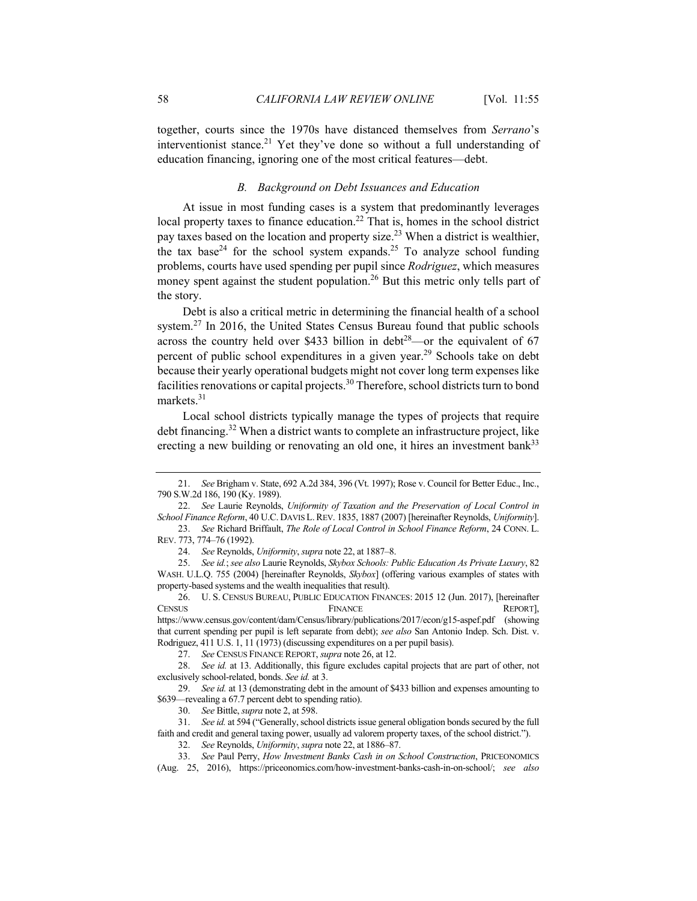together, courts since the 1970s have distanced themselves from *Serrano*'s interventionist stance.<sup>21</sup> Yet they've done so without a full understanding of education financing, ignoring one of the most critical features—debt.

# *B. Background on Debt Issuances and Education*

At issue in most funding cases is a system that predominantly leverages local property taxes to finance education.<sup>22</sup> That is, homes in the school district pay taxes based on the location and property size.23 When a district is wealthier, the tax base<sup>24</sup> for the school system expands.<sup>25</sup> To analyze school funding problems, courts have used spending per pupil since *Rodriguez*, which measures money spent against the student population.<sup>26</sup> But this metric only tells part of the story.

Debt is also a critical metric in determining the financial health of a school system.<sup>27</sup> In 2016, the United States Census Bureau found that public schools across the country held over \$433 billion in debt<sup>28</sup>—or the equivalent of  $67$ percent of public school expenditures in a given year.<sup>29</sup> Schools take on debt because their yearly operational budgets might not cover long term expenses like facilities renovations or capital projects.<sup>30</sup> Therefore, school districts turn to bond markets.<sup>31</sup>

Local school districts typically manage the types of projects that require debt financing.<sup>32</sup> When a district wants to complete an infrastructure project, like erecting a new building or renovating an old one, it hires an investment bank<sup>33</sup>

<sup>21.</sup> *See* Brigham v. State, 692 A.2d 384, 396 (Vt. 1997); Rose v. Council for Better Educ., Inc., 790 S.W.2d 186, 190 (Ky. 1989).

<sup>22.</sup> *See* Laurie Reynolds, *Uniformity of Taxation and the Preservation of Local Control in School Finance Reform*, 40 U.C. DAVIS L.REV. 1835, 1887 (2007) [hereinafter Reynolds, *Uniformity*]. 23. *See* Richard Briffault, *The Role of Local Control in School Finance Reform*, 24 CONN. L.

REV. 773, 774–76 (1992).

<sup>24.</sup> *See* Reynolds, *Uniformity*, *supra* note 22, at 1887–8.

<sup>25.</sup> *See id.*; *see also* Laurie Reynolds, *Skybox Schools: Public Education As Private Luxury*, 82 WASH. U.L.Q. 755 (2004) [hereinafter Reynolds, *Skybox*] (offering various examples of states with property-based systems and the wealth inequalities that result).

 <sup>26.</sup> U. S. CENSUS BUREAU, PUBLIC EDUCATION FINANCES: 2015 12 (Jun. 2017), [hereinafter CENSUS **FINANCE** FINANCE REPORT], https://www.census.gov/content/dam/Census/library/publications/2017/econ/g15-aspef.pdf (showing that current spending per pupil is left separate from debt); *see also* San Antonio Indep. Sch. Dist. v. Rodriguez, 411 U.S. 1, 11 (1973) (discussing expenditures on a per pupil basis).

<sup>27.</sup> *See* CENSUS FINANCE REPORT, *supra* note 26, at 12.

<sup>28.</sup> *See id.* at 13. Additionally, this figure excludes capital projects that are part of other, not exclusively school-related, bonds. *See id.* at 3.

<sup>29.</sup> *See id.* at 13 (demonstrating debt in the amount of \$433 billion and expenses amounting to \$639—revealing a 67.7 percent debt to spending ratio).

<sup>30.</sup> *See* Bittle, *supra* note 2, at 598.

<sup>31.</sup> *See id.* at 594 ("Generally, school districts issue general obligation bonds secured by the full faith and credit and general taxing power, usually ad valorem property taxes, of the school district.").

<sup>32.</sup> *See* Reynolds, *Uniformity*, *supra* note 22, at 1886–87.

<sup>33.</sup> *See* Paul Perry, *How Investment Banks Cash in on School Construction*, PRICEONOMICS (Aug. 25, 2016), https://priceonomics.com/how-investment-banks-cash-in-on-school/; *see also*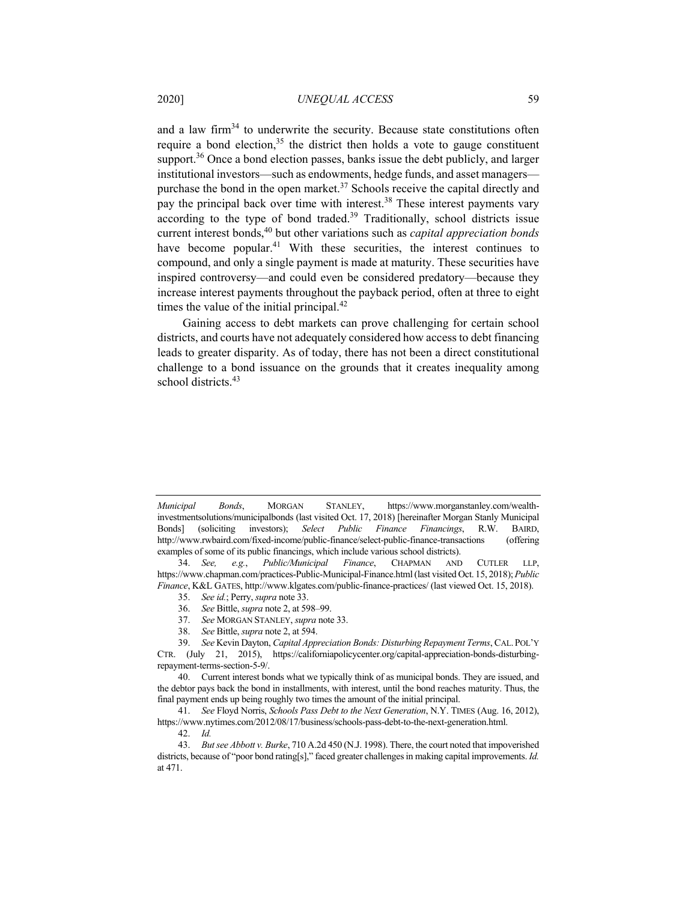and a law firm<sup>34</sup> to underwrite the security. Because state constitutions often require a bond election,<sup>35</sup> the district then holds a vote to gauge constituent support.<sup>36</sup> Once a bond election passes, banks issue the debt publicly, and larger institutional investors—such as endowments, hedge funds, and asset managers purchase the bond in the open market.<sup>37</sup> Schools receive the capital directly and pay the principal back over time with interest.<sup>38</sup> These interest payments vary according to the type of bond traded.<sup>39</sup> Traditionally, school districts issue current interest bonds,<sup>40</sup> but other variations such as *capital appreciation bonds* have become popular.<sup>41</sup> With these securities, the interest continues to compound, and only a single payment is made at maturity. These securities have inspired controversy—and could even be considered predatory—because they increase interest payments throughout the payback period, often at three to eight times the value of the initial principal. $42$ 

Gaining access to debt markets can prove challenging for certain school districts, and courts have not adequately considered how access to debt financing leads to greater disparity. As of today, there has not been a direct constitutional challenge to a bond issuance on the grounds that it creates inequality among school districts.<sup>43</sup>

- 37. *See* MORGAN STANLEY, *supra* note 33.
- 38. *See* Bittle, *supra* note 2, at 594.

*Municipal Bonds*, MORGAN STANLEY, https://www.morganstanley.com/wealthinvestmentsolutions/municipalbonds (last visited Oct. 17, 2018) [hereinafter Morgan Stanly Municipal Bonds] (soliciting investors); *Select Public Finance Financings*, R.W. BAIRD, http://www.rwbaird.com/fixed-income/public-finance/select-public-finance-transactions (offering examples of some of its public financings, which include various school districts).

<sup>34.</sup> *See, e.g.*, *Public/Municipal Finance*, CHAPMAN AND CUTLER LLP, https://www.chapman.com/practices-Public-Municipal-Finance.html (last visited Oct. 15, 2018); *Public Finance*, K&L GATES, http://www.klgates.com/public-finance-practices/ (last viewed Oct. 15, 2018).

<sup>35.</sup> *See id.*; Perry, *supra* note 33.

<sup>36.</sup> *See* Bittle, *supra* note 2, at 598–99.

<sup>39.</sup> *See* Kevin Dayton, *Capital Appreciation Bonds: Disturbing Repayment Terms*, CAL. POL'Y CTR. (July 21, 2015), https://californiapolicycenter.org/capital-appreciation-bonds-disturbingrepayment-terms-section-5-9/.

 <sup>40.</sup> Current interest bonds what we typically think of as municipal bonds. They are issued, and the debtor pays back the bond in installments, with interest, until the bond reaches maturity. Thus, the final payment ends up being roughly two times the amount of the initial principal.

<sup>41.</sup> *See* Floyd Norris, *Schools Pass Debt to the Next Generation*, N.Y. TIMES (Aug. 16, 2012), https://www.nytimes.com/2012/08/17/business/schools-pass-debt-to-the-next-generation.html.

<sup>42.</sup> *Id.* 

<sup>43.</sup> *But see Abbott v. Burke*, 710 A.2d 450 (N.J. 1998). There, the court noted that impoverished districts, because of "poor bond rating[s]," faced greater challenges in making capital improvements. *Id.*  at 471.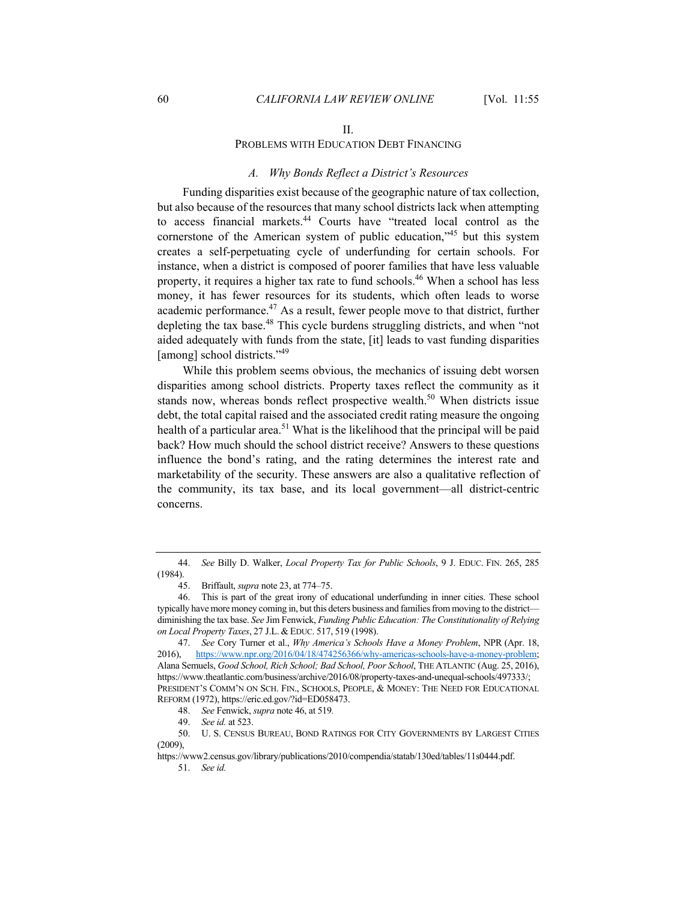#### II.

## PROBLEMS WITH EDUCATION DEBT FINANCING

#### *A. Why Bonds Reflect a District's Resources*

Funding disparities exist because of the geographic nature of tax collection, but also because of the resources that many school districts lack when attempting to access financial markets.44 Courts have "treated local control as the cornerstone of the American system of public education,<sup>345</sup> but this system creates a self-perpetuating cycle of underfunding for certain schools. For instance, when a district is composed of poorer families that have less valuable property, it requires a higher tax rate to fund schools.<sup>46</sup> When a school has less money, it has fewer resources for its students, which often leads to worse academic performance.<sup>47</sup> As a result, fewer people move to that district, further depleting the tax base.<sup>48</sup> This cycle burdens struggling districts, and when "not aided adequately with funds from the state, [it] leads to vast funding disparities [among] school districts."<sup>49</sup>

While this problem seems obvious, the mechanics of issuing debt worsen disparities among school districts. Property taxes reflect the community as it stands now, whereas bonds reflect prospective wealth.<sup>50</sup> When districts issue debt, the total capital raised and the associated credit rating measure the ongoing health of a particular area.<sup>51</sup> What is the likelihood that the principal will be paid back? How much should the school district receive? Answers to these questions influence the bond's rating, and the rating determines the interest rate and marketability of the security. These answers are also a qualitative reflection of the community, its tax base, and its local government—all district-centric concerns.

<sup>44.</sup> *See* Billy D. Walker, *Local Property Tax for Public Schools*, 9 J. EDUC. FIN. 265, 285 (1984).

 <sup>45.</sup> Briffault, *supra* note 23, at 774–75.

 <sup>46.</sup> This is part of the great irony of educational underfunding in inner cities. These school typically have more money coming in, but this deters business and families from moving to the district diminishing the tax base. *See* Jim Fenwick, *Funding Public Education: The Constitutionality of Relying on Local Property Taxes*, 27 J.L. & EDUC. 517, 519 (1998).

<sup>47.</sup> *See* Cory Turner et al., *Why America's Schools Have a Money Problem*, NPR (Apr. 18, 2016), https://www.npr.org/2016/04/18/474256366/why-americas-schools-have-a-money-problem; Alana Semuels, *Good School, Rich School; Bad School, Poor School*, THE ATLANTIC (Aug. 25, 2016), https://www.theatlantic.com/business/archive/2016/08/property-taxes-and-unequal-schools/497333/; PRESIDENT'S COMM'N ON SCH. FIN., SCHOOLS, PEOPLE, & MONEY: THE NEED FOR EDUCATIONAL REFORM (1972), https://eric.ed.gov/?id=ED058473.

<sup>48.</sup> *See* Fenwick, *supra* note 46, at 519*.* 

<sup>49.</sup> *See id.* at 523.

 <sup>50.</sup> U. S. CENSUS BUREAU, BOND RATINGS FOR CITY GOVERNMENTS BY LARGEST CITIES  $(2009)$ 

https://www2.census.gov/library/publications/2010/compendia/statab/130ed/tables/11s0444.pdf.

<sup>51.</sup> *See id.*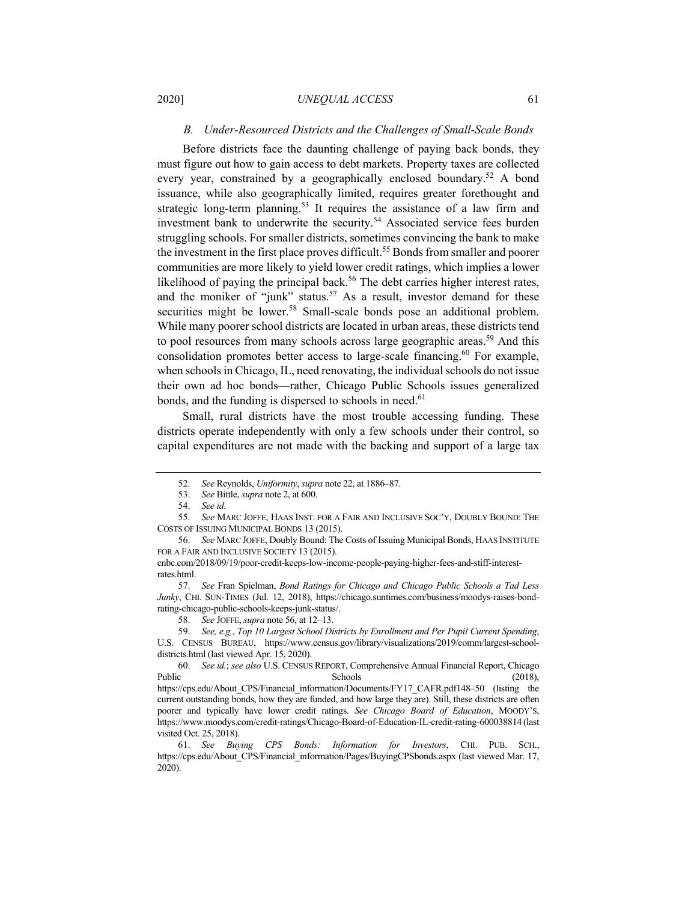# *B. Under-Resourced Districts and the Challenges of Small-Scale Bonds*

Before districts face the daunting challenge of paying back bonds, they must figure out how to gain access to debt markets. Property taxes are collected every year, constrained by a geographically enclosed boundary.<sup>52</sup> A bond issuance, while also geographically limited, requires greater forethought and strategic long-term planning.<sup>53</sup> It requires the assistance of a law firm and investment bank to underwrite the security.<sup>54</sup> Associated service fees burden struggling schools. For smaller districts, sometimes convincing the bank to make the investment in the first place proves difficult.<sup>55</sup> Bonds from smaller and poorer communities are more likely to yield lower credit ratings, which implies a lower likelihood of paying the principal back.<sup>56</sup> The debt carries higher interest rates, and the moniker of "junk" status.<sup>57</sup> As a result, investor demand for these securities might be lower.<sup>58</sup> Small-scale bonds pose an additional problem. While many poorer school districts are located in urban areas, these districts tend to pool resources from many schools across large geographic areas.<sup>59</sup> And this consolidation promotes better access to large-scale financing.<sup>60</sup> For example, when schools in Chicago, IL, need renovating, the individual schools do not issue their own ad hoc bonds—rather, Chicago Public Schools issues generalized bonds, and the funding is dispersed to schools in need.<sup>61</sup>

Small, rural districts have the most trouble accessing funding. These districts operate independently with only a few schools under their control, so capital expenditures are not made with the backing and support of a large tax

<sup>52.</sup> *See* Reynolds, *Uniformity*, *supra* note 22, at 1886–87.

<sup>53.</sup> *See* Bittle, *supra* note 2, at 600.

<sup>54.</sup> *See id.* 

<sup>55.</sup> *See* MARC JOFFE, HAAS INST. FOR A FAIR AND INCLUSIVE SOC'Y, DOUBLY BOUND: THE COSTS OF ISSUING MUNICIPAL BONDS 13 (2015).

<sup>56.</sup> *See* MARC JOFFE, Doubly Bound: The Costs of Issuing Municipal Bonds, HAAS INSTITUTE FOR A FAIR AND INCLUSIVE SOCIETY 13 (2015).

cnbc.com/2018/09/19/poor-credit-keeps-low-income-people-paying-higher-fees-and-stiff-interestrates.html.

<sup>57.</sup> *See* Fran Spielman, *Bond Ratings for Chicago and Chicago Public Schools a Tad Less Junky*, CHI. SUN-TIMES (Jul. 12, 2018), https://chicago.suntimes.com/business/moodys-raises-bondrating-chicago-public-schools-keeps-junk-status/.

<sup>58.</sup> *See* JOFFE, *supra* note 56, at 12–13.

<sup>59.</sup> *See, e.g.*, *Top 10 Largest School Districts by Enrollment and Per Pupil Current Spending*, U.S. CENSUS BUREAU, https://www.census.gov/library/visualizations/2019/comm/largest-schooldistricts.html (last viewed Apr. 15, 2020).

<sup>60.</sup> *See id.*; *see also* U.S. CENSUS REPORT, Comprehensive Annual Financial Report, Chicago Public COLE Schools (2018), https://cps.edu/About\_CPS/Financial\_information/Documents/FY17\_CAFR.pdf148–50 (listing the current outstanding bonds, how they are funded, and how large they are). Still, these districts are often poorer and typically have lower credit ratings. *See Chicago Board of Education*, MOODY'S, https://www.moodys.com/credit-ratings/Chicago-Board-of-Education-IL-credit-rating-600038814 (last

visited Oct. 25, 2018).

<sup>61.</sup> *See Buying CPS Bonds: Information for Investors*, CHI. PUB. SCH., https://cps.edu/About\_CPS/Financial\_information/Pages/BuyingCPSbonds.aspx (last viewed Mar. 17, 2020).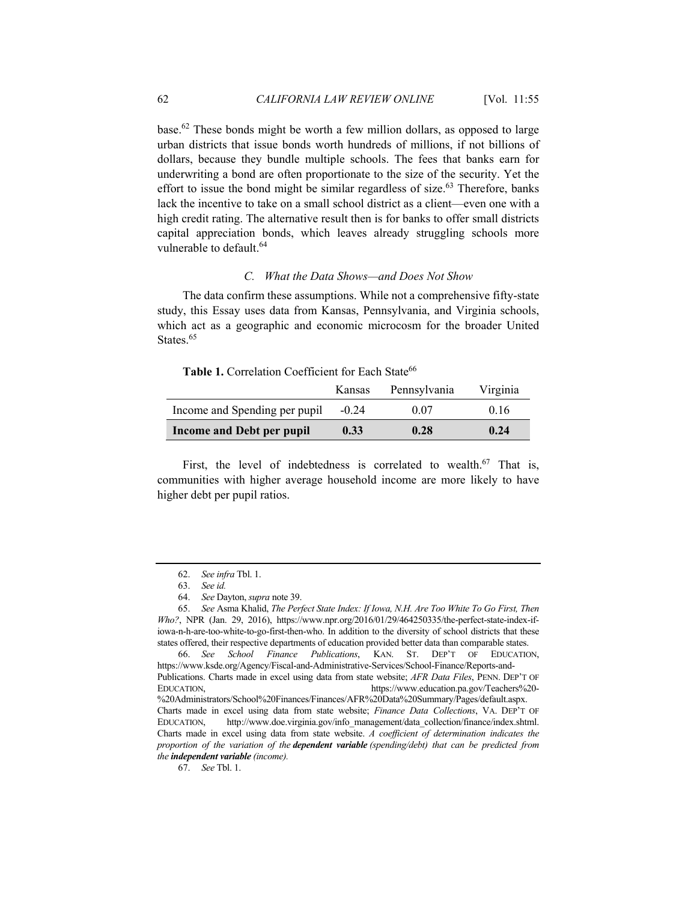base.62 These bonds might be worth a few million dollars, as opposed to large urban districts that issue bonds worth hundreds of millions, if not billions of dollars, because they bundle multiple schools. The fees that banks earn for underwriting a bond are often proportionate to the size of the security. Yet the effort to issue the bond might be similar regardless of size.<sup>63</sup> Therefore, banks lack the incentive to take on a small school district as a client—even one with a high credit rating. The alternative result then is for banks to offer small districts capital appreciation bonds, which leaves already struggling schools more vulnerable to default.<sup>64</sup>

# *C. What the Data Shows—and Does Not Show*

The data confirm these assumptions. While not a comprehensive fifty-state study, this Essay uses data from Kansas, Pennsylvania, and Virginia schools, which act as a geographic and economic microcosm for the broader United States.<sup>65</sup>

Table 1. Correlation Coefficient for Each State<sup>66</sup>

|                               | Kansas  | Pennsylvania | Virginia |
|-------------------------------|---------|--------------|----------|
| Income and Spending per pupil | $-0.24$ | 0.07         | 0.16     |
| Income and Debt per pupil     | 0.33    | 0.28         | 0.24     |

First, the level of indebtedness is correlated to wealth.<sup>67</sup> That is, communities with higher average household income are more likely to have higher debt per pupil ratios.

<sup>62.</sup> *See infra* Tbl. 1.

<sup>63.</sup> *See id.* 

<sup>64.</sup> *See* Dayton, *supra* note 39.

<sup>65.</sup> *See* Asma Khalid, *The Perfect State Index: If Iowa, N.H. Are Too White To Go First, Then Who?*, NPR (Jan. 29, 2016), https://www.npr.org/2016/01/29/464250335/the-perfect-state-index-ifiowa-n-h-are-too-white-to-go-first-then-who. In addition to the diversity of school districts that these states offered, their respective departments of education provided better data than comparable states.

<sup>66.</sup> *See School Finance Publications*, KAN. ST. DEP'T OF EDUCATION, https://www.ksde.org/Agency/Fiscal-and-Administrative-Services/School-Finance/Reports-and-Publications. Charts made in excel using data from state website; *AFR Data Files*, PENN. DEP'T OF EDUCATION, https://www.education.pa.gov/Teachers%20-

<sup>%20</sup>Administrators/School%20Finances/Finances/AFR%20Data%20Summary/Pages/default.aspx. Charts made in excel using data from state website; *Finance Data Collections*, VA. DEP'T OF EDUCATION, http://www.doe.virginia.gov/info\_management/data\_collection/finance/index.shtml. Charts made in excel using data from state website. *A coefficient of determination indicates the proportion of the variation of the dependent variable (spending/debt) that can be predicted from the independent variable (income).* 

<sup>67.</sup> *See* Tbl. 1.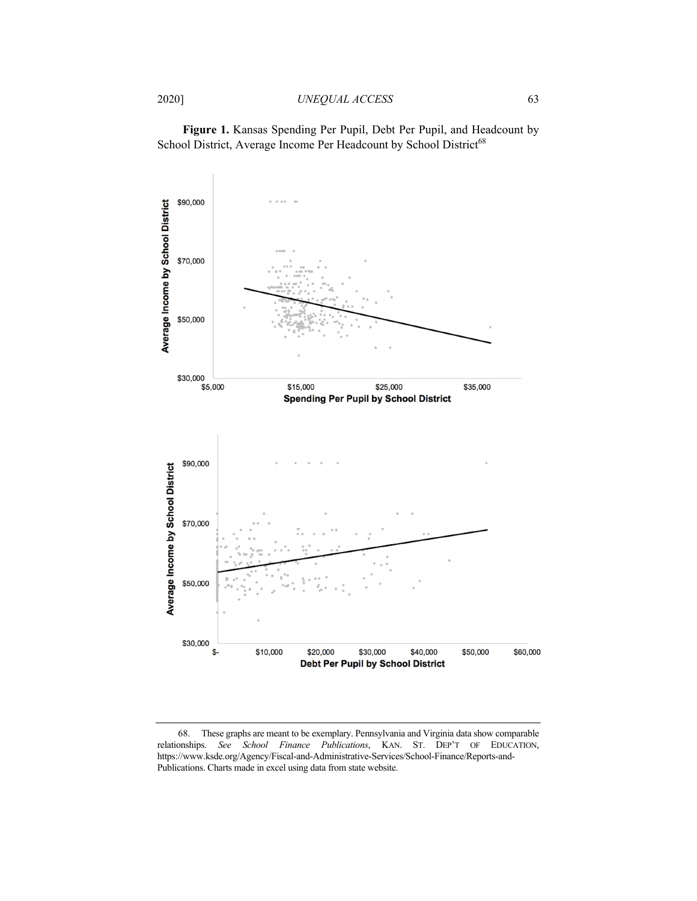**Figure 1.** Kansas Spending Per Pupil, Debt Per Pupil, and Headcount by School District, Average Income Per Headcount by School District<sup>68</sup>



 <sup>68.</sup> These graphs are meant to be exemplary. Pennsylvania and Virginia data show comparable relationships. *See School Finance Publications*, KAN. ST. DEP'T OF EDUCATION, https://www.ksde.org/Agency/Fiscal-and-Administrative-Services/School-Finance/Reports-and-Publications. Charts made in excel using data from state website.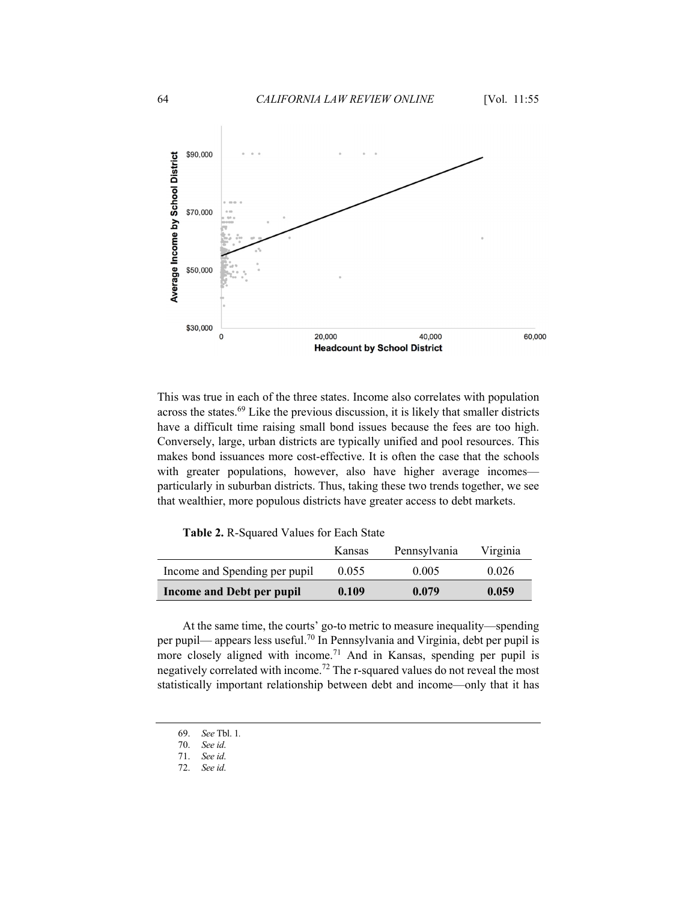

This was true in each of the three states. Income also correlates with population across the states. $69$  Like the previous discussion, it is likely that smaller districts have a difficult time raising small bond issues because the fees are too high. Conversely, large, urban districts are typically unified and pool resources. This makes bond issuances more cost-effective. It is often the case that the schools with greater populations, however, also have higher average incomes particularly in suburban districts. Thus, taking these two trends together, we see that wealthier, more populous districts have greater access to debt markets.

**Table 2.** R-Squared Values for Each State

|                               | Kansas | Pennsylvania | Virginia |
|-------------------------------|--------|--------------|----------|
| Income and Spending per pupil | 0.055  | 0.005        | 0.026    |
| Income and Debt per pupil     | 0.109  | 0.079        | 0.059    |

At the same time, the courts' go-to metric to measure inequality—spending per pupil— appears less useful.<sup>70</sup> In Pennsylvania and Virginia, debt per pupil is more closely aligned with income.<sup>71</sup> And in Kansas, spending per pupil is negatively correlated with income.<sup>72</sup> The r-squared values do not reveal the most statistically important relationship between debt and income—only that it has

<sup>69.</sup> *See* Tbl. 1*.* 

<sup>70.</sup> *See id*.

<sup>71.</sup> *See id*.

<sup>72.</sup> *See id*.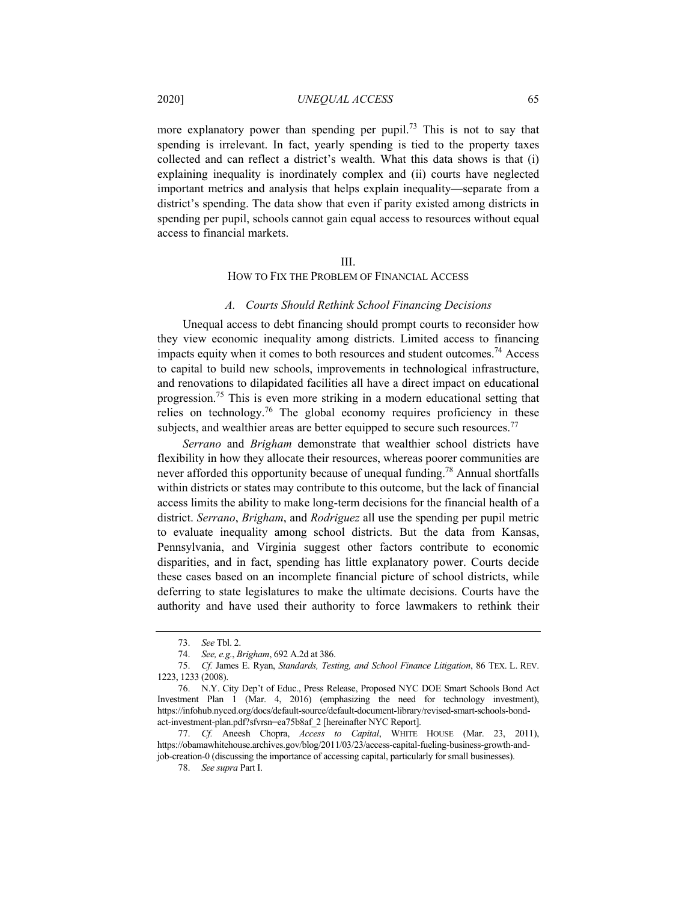more explanatory power than spending per pupil.<sup>73</sup> This is not to say that spending is irrelevant. In fact, yearly spending is tied to the property taxes collected and can reflect a district's wealth. What this data shows is that (i) explaining inequality is inordinately complex and (ii) courts have neglected important metrics and analysis that helps explain inequality—separate from a district's spending. The data show that even if parity existed among districts in spending per pupil, schools cannot gain equal access to resources without equal access to financial markets.

#### III.

#### HOW TO FIX THE PROBLEM OF FINANCIAL ACCESS

#### *A. Courts Should Rethink School Financing Decisions*

Unequal access to debt financing should prompt courts to reconsider how they view economic inequality among districts. Limited access to financing impacts equity when it comes to both resources and student outcomes.<sup>74</sup> Access to capital to build new schools, improvements in technological infrastructure, and renovations to dilapidated facilities all have a direct impact on educational progression.75 This is even more striking in a modern educational setting that relies on technology.<sup>76</sup> The global economy requires proficiency in these subjects, and wealthier areas are better equipped to secure such resources.<sup>77</sup>

*Serrano* and *Brigham* demonstrate that wealthier school districts have flexibility in how they allocate their resources, whereas poorer communities are never afforded this opportunity because of unequal funding.<sup>78</sup> Annual shortfalls within districts or states may contribute to this outcome, but the lack of financial access limits the ability to make long-term decisions for the financial health of a district. *Serrano*, *Brigham*, and *Rodriguez* all use the spending per pupil metric to evaluate inequality among school districts. But the data from Kansas, Pennsylvania, and Virginia suggest other factors contribute to economic disparities, and in fact, spending has little explanatory power. Courts decide these cases based on an incomplete financial picture of school districts, while deferring to state legislatures to make the ultimate decisions. Courts have the authority and have used their authority to force lawmakers to rethink their

<sup>73.</sup> *See* Tbl. 2.

<sup>74.</sup> *See, e.g.*, *Brigham*, 692 A.2d at 386.

<sup>75.</sup> *Cf.* James E. Ryan, *Standards, Testing, and School Finance Litigation*, 86 TEX. L. REV. 1223, 1233 (2008).

 <sup>76.</sup> N.Y. City Dep't of Educ., Press Release, Proposed NYC DOE Smart Schools Bond Act Investment Plan 1 (Mar. 4, 2016) (emphasizing the need for technology investment), https://infohub.nyced.org/docs/default-source/default-document-library/revised-smart-schools-bondact-investment-plan.pdf?sfvrsn=ea75b8af\_2 [hereinafter NYC Report].

<sup>77.</sup> *Cf.* Aneesh Chopra, *Access to Capital*, WHITE HOUSE (Mar. 23, 2011), https://obamawhitehouse.archives.gov/blog/2011/03/23/access-capital-fueling-business-growth-andjob-creation-0 (discussing the importance of accessing capital, particularly for small businesses).

<sup>78.</sup> *See supra* Part I.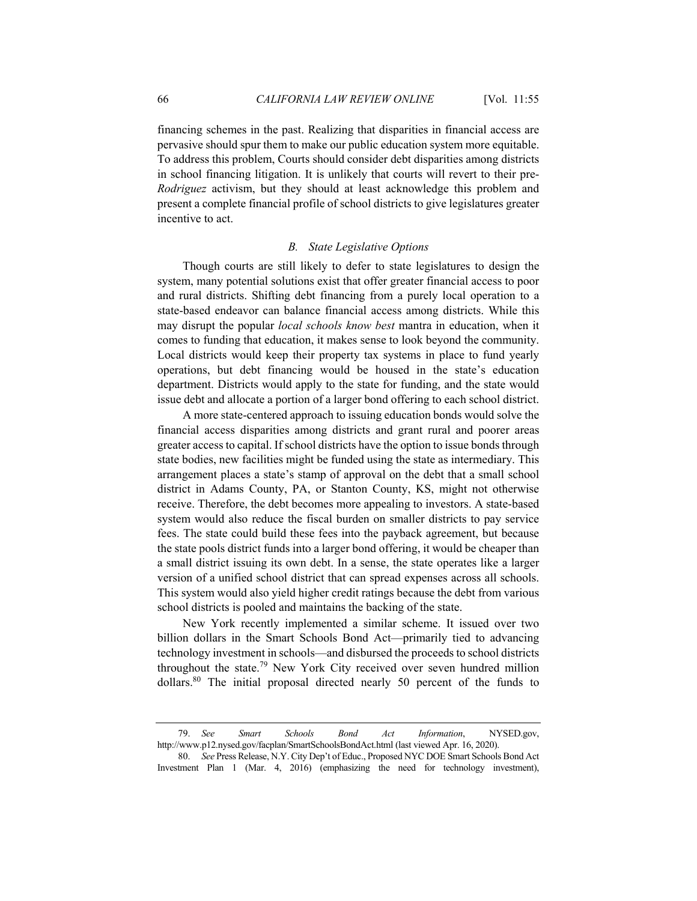financing schemes in the past. Realizing that disparities in financial access are pervasive should spur them to make our public education system more equitable. To address this problem, Courts should consider debt disparities among districts in school financing litigation. It is unlikely that courts will revert to their pre-*Rodriguez* activism, but they should at least acknowledge this problem and present a complete financial profile of school districts to give legislatures greater incentive to act.

# *B. State Legislative Options*

Though courts are still likely to defer to state legislatures to design the system, many potential solutions exist that offer greater financial access to poor and rural districts. Shifting debt financing from a purely local operation to a state-based endeavor can balance financial access among districts. While this may disrupt the popular *local schools know best* mantra in education, when it comes to funding that education, it makes sense to look beyond the community. Local districts would keep their property tax systems in place to fund yearly operations, but debt financing would be housed in the state's education department. Districts would apply to the state for funding, and the state would issue debt and allocate a portion of a larger bond offering to each school district.

A more state-centered approach to issuing education bonds would solve the financial access disparities among districts and grant rural and poorer areas greater access to capital. If school districts have the option to issue bonds through state bodies, new facilities might be funded using the state as intermediary. This arrangement places a state's stamp of approval on the debt that a small school district in Adams County, PA, or Stanton County, KS, might not otherwise receive. Therefore, the debt becomes more appealing to investors. A state-based system would also reduce the fiscal burden on smaller districts to pay service fees. The state could build these fees into the payback agreement, but because the state pools district funds into a larger bond offering, it would be cheaper than a small district issuing its own debt. In a sense, the state operates like a larger version of a unified school district that can spread expenses across all schools. This system would also yield higher credit ratings because the debt from various school districts is pooled and maintains the backing of the state.

New York recently implemented a similar scheme. It issued over two billion dollars in the Smart Schools Bond Act—primarily tied to advancing technology investment in schools—and disbursed the proceeds to school districts throughout the state.<sup>79</sup> New York City received over seven hundred million dollars.80 The initial proposal directed nearly 50 percent of the funds to

<sup>79.</sup> *See Smart Schools Bond Act Information*, NYSED.gov, http://www.p12.nysed.gov/facplan/SmartSchoolsBondAct.html (last viewed Apr. 16, 2020).

<sup>80.</sup> *See* Press Release, N.Y. City Dep't of Educ., Proposed NYC DOE Smart Schools Bond Act Investment Plan 1 (Mar. 4, 2016) (emphasizing the need for technology investment),